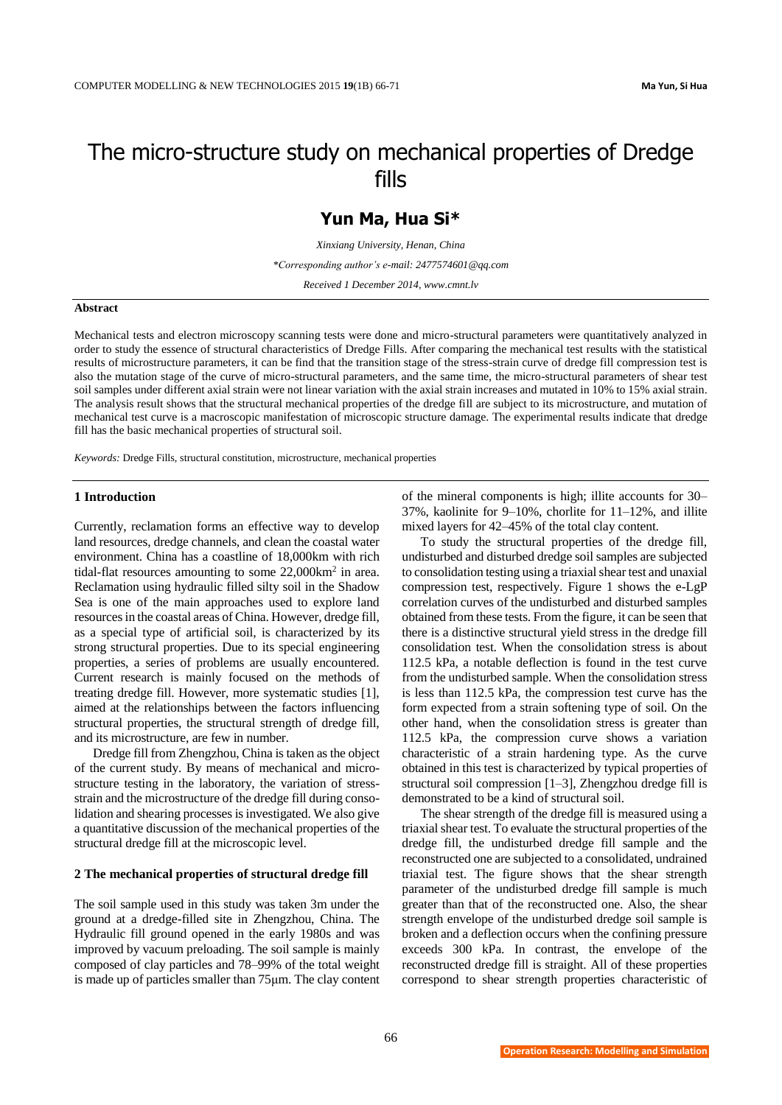# The micro-structure study on mechanical properties of Dredge fills

# **Yun Ma, Hua Si\***

*Xinxiang University, Henan, China*

*\*Corresponding author's e-mail: 2477574601@qq.com*

*Received 1 December 2014, www.cmnt.lv*

#### **Abstract**

Mechanical tests and electron microscopy scanning tests were done and micro-structural parameters were quantitatively analyzed in order to study the essence of structural characteristics of Dredge Fills. After comparing the mechanical test results with the statistical results of microstructure parameters, it can be find that the transition stage of the stress-strain curve of dredge fill compression test is also the mutation stage of the curve of micro-structural parameters, and the same time, the micro-structural parameters of shear test soil samples under different axial strain were not linear variation with the axial strain increases and mutated in 10% to 15% axial strain. The analysis result shows that the structural mechanical properties of the dredge fill are subject to its microstructure, and mutation of mechanical test curve is a macroscopic manifestation of microscopic structure damage. The experimental results indicate that dredge fill has the basic mechanical properties of structural soil.

*Keywords:* Dredge Fills, structural constitution, microstructure, mechanical properties

#### **1 Introduction**

Currently, reclamation forms an effective way to develop land resources, dredge channels, and clean the coastal water environment. China has a coastline of 18,000km with rich tidal-flat resources amounting to some 22,000km<sup>2</sup> in area. Reclamation using hydraulic filled silty soil in the Shadow Sea is one of the main approaches used to explore land resources in the coastal areas of China. However, dredge fill, as a special type of artificial soil, is characterized by its strong structural properties. Due to its special engineering properties, a series of problems are usually encountered. Current research is mainly focused on the methods of treating dredge fill. However, more systematic studies [1], aimed at the relationships between the factors influencing structural properties, the structural strength of dredge fill, and its microstructure, are few in number.

Dredge fill from Zhengzhou, China is taken as the object of the current study. By means of mechanical and microstructure testing in the laboratory, the variation of stressstrain and the microstructure of the dredge fill during consolidation and shearing processes is investigated. We also give a quantitative discussion of the mechanical properties of the structural dredge fill at the microscopic level.

#### **2 The mechanical properties of structural dredge fill**

The soil sample used in this study was taken 3m under the ground at a dredge-filled site in Zhengzhou, China. The Hydraulic fill ground opened in the early 1980s and was improved by vacuum preloading. The soil sample is mainly composed of clay particles and 78–99% of the total weight is made up of particles smaller than 75μm[. The clay content](javascript:showjdsw()

of the mineral components is high; illite accounts for 30– 37%, kaolinite for 9–10%, chorlite for 11–12%, and illite mixed layers for 42–45% of the total clay content.

To study the structural properties of the dredge fill, undisturbed and disturbed dredge soil samples are subjected to consolidation testing using a triaxial shear test and unaxial compression test, respectively. Figure 1 shows the e-LgP correlation curves of the undisturbed and disturbed samples obtained from these tests. From the figure, it can be seen that there is a distinctive structural yield stress in the dredge fill consolidation test. When the consolidation stress is about 112.5 kPa, a notable deflection is found in the test curve from the undisturbed sample. When the consolidation stress is less than 112.5 kPa, the compression test curve has the form expected from a strain softening type of soil. On the other hand, when the consolidation stress is greater than 112.5 kPa, the compression curve shows a variation characteristic of a strain hardening type. As the curve obtained in this test is characterized by typical properties of structural soil compression [1–3], Zhengzhou dredge fill is demonstrated to be a kind of structural soil.

The shear strength of the dredge fill is measured using a triaxial shear test. To evaluate the structural properties of the dredge fill, the undisturbed dredge fill sample and the reconstructed one are subjected to a consolidated, undrained triaxial test. The figure shows that the shear strength parameter of the undisturbed dredge fill sample is much greater than that of the reconstructed one. Also, the shear strength envelope of the undisturbed dredge soil sample is broken and a deflection occurs when the confining pressure exceeds 300 kPa. In contrast, the envelope of the reconstructed dredge fill is straight. All of these properties correspond to shear strength properties characteristic of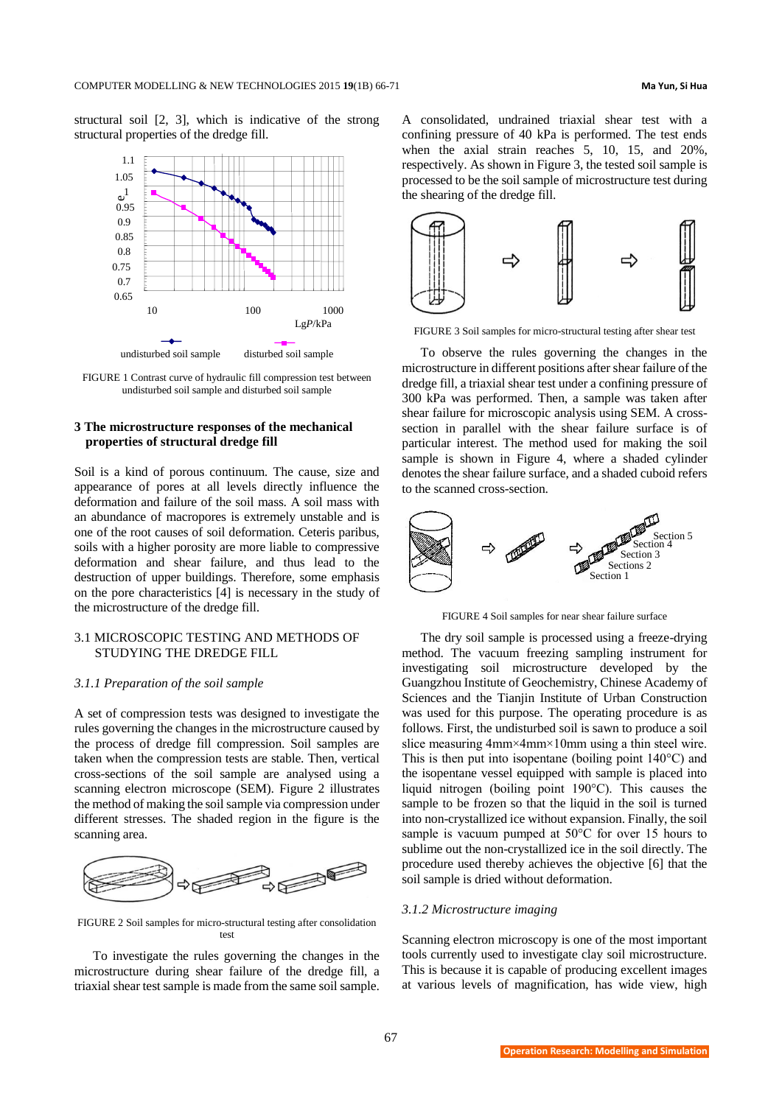structural soil [2, 3], which is indicative of the strong structural properties of the dredge fill.



FIGURE 1 Contrast curve of hydraulic fill compression test between undisturbed soil sample and disturbed soil sample

# **3 The microstructure responses of the mechanical properties of structural dredge fill**

Soil is a kind of porous continuum. The cause, size and appearance of pores at all levels directly influence the deformation and failure of the soil mass. A soil mass with an abundance of macropores is extremely unstable and is one of the root causes of soil deformation. Ceteris paribus, soils with a higher porosity are more liable to compressive deformation and shear failure, and thus lead to the destruction of upper buildings. Therefore, some emphasis on the pore characteristics [4] is necessary in the study of the microstructure of the dredge fill.

# 3.1 MICROSCOPIC TESTING AND METHODS OF STUDYING THE DREDGE FILL

### *3.1.1 Preparation of the soil sample*

A set of compression tests was designed to investigate the rules governing the changes in the microstructure caused by the process of dredge fill compression. Soil samples are taken when the compression tests are stable. Then, vertical cross-sections of the soil sample are analysed using a scanning electron microscope (SEM). Figure 2 illustrates the method of making the soil sample via compression under different stresses. The shaded region in the figure is the scanning area.



FIGURE 2 Soil samples for micro-structural testing after consolidation test

To investigate the rules governing the changes in the microstructure during shear failure of the dredge fill, a triaxial shear test sample is made from the same soil sample. A consolidated, undrained triaxial shear test with a confining pressure of 40 kPa is performed. The test ends when the axial strain reaches 5, 10, 15, and 20%, respectively. As shown in Figure 3, the tested soil sample is processed to be the soil sample of microstructure test during the shearing of the dredge fill.



FIGURE 3 Soil samples for micro-structural testing after shear test

To observe the rules governing the changes in the microstructure in different positions after shear failure of the dredge fill, a triaxial shear test under a confining pressure of 300 kPa was performed. Then, a sample was taken after shear failure for microscopic analysis using SEM. A crosssection in parallel with the shear failure surface is of particular interest. The method used for making the soil sample is shown in Figure 4, where a shaded cylinder denotes the shear failure surface, and a shaded cuboid refers to the scanned cross-section.



FIGURE 4 Soil samples for near shear failure surface

The dry soil sample is processed using a freeze-drying method. The vacuum freezing sampling instrument for investigating soil microstructure developed by the Guangzhou Institute of Geochemistry, Chinese Academy of Sciences and the Tianjin Institute of Urban Construction was used for this purpose. The operating procedure is as follows. First, the undisturbed soil is sawn to produce a soil slice measuring 4mm×4mm×10mm using a thin steel wire. This is then put into isopentane (boiling point  $140^{\circ}$ C) and the isopentane vessel equipped with sample is placed into liquid nitrogen (boiling point 190°C). This causes the sample to be frozen so that the liquid in the soil is turned into non-crystallized ice without expansion. Finally, the soil sample is vacuum pumped at 50°C for over 15 hours to sublime out the non-crystallized ice in the soil directly. The procedure used thereby achieves the objective [6] that the soil sample is dried without deformation.

#### *3.1.2 Microstructure imaging*

Scanning electron microscopy is one of the most important tools currently used to investigate clay soil microstructure. This is because it is capable of producing excellent images at various levels of magnification, has wide view, high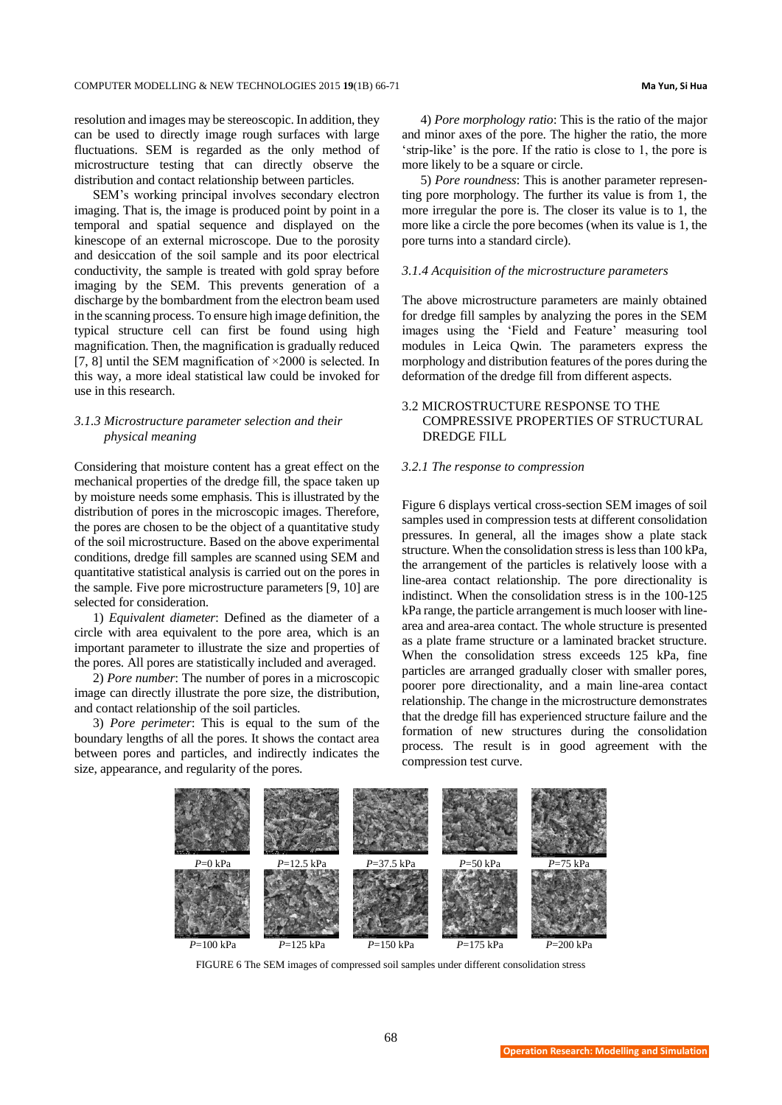resolution and images may be stereoscopic. In addition, they can be used to directly image rough surfaces with large fluctuations. SEM is regarded as the only method of microstructure testing that can directly observe the distribution and contact relationship between particles.

SEM's working principal involves secondary electron imaging. That is, the image is produced point by point in a temporal and spatial sequence and displayed on the kinescope of an external microscope. Due to the porosity and desiccation of the soil sample and its poor electrical conductivity, the sample is treated with gold spray before imaging by the SEM. This prevents generation of a discharge by the bombardment from the electron beam used in the scanning process. To ensure hig[h image definition,](javascript:showjdsw() the typical structure cell can first be found using high magnification. Then, the magnification is gradually reduced [7, 8] until the SEM magnification of  $\times$ 2000 is selected. In this way, a more ideal statistical law could be invoked for use in this research.

# *3.1.3 Microstructure parameter selection and their physical meaning*

Considering that moisture content has a great effect on the mechanical properties of the dredge fill, the space taken up by moisture needs some emphasis. This is illustrated by the distribution of pores in the microscopic images. Therefore, the pores are chosen to be the object of a quantitative study of the soil microstructure. Based on the above experimental conditions, dredge fill samples are scanned using SEM and quantitative statistical analysis is carried out on the pores in the sample. Five pore microstructure parameters [9, 10] are selected for consideration.

1) *Equivalent diameter*: Defined as the diameter of a circle with area equivalent to the pore area, which is an important parameter to illustrate the size and properties of the pores. All pores are statistically included and averaged.

2) *Pore number*: The number of pores in a microscopic image can directly illustrate the pore size, the distribution, and contact relationship of the soil particles.

3) *Pore perimeter*: This is equal to the sum of the boundary lengths of all the pores. It shows the contact area between pores and particles, and indirectly indicates the size, appearance, and regularity of the pores.

4) *Pore morphology ratio*: This is the ratio of the major and minor axes of the pore. The higher the ratio, the more 'strip-like' is the pore. If the ratio is close to 1, the pore is more likely to be a square or circle.

5) *Pore roundness*: This is another parameter representing pore morphology. The further its value is from 1, the more irregular the pore is. The closer its value is to 1, the more like a circle the pore becomes (when its value is 1, the pore turns into a standard circle).

### *3.1.4 Acquisition of the microstructure parameters*

The above microstructure parameters are mainly obtained for dredge fill samples by analyzing the pores in the SEM images using the 'Field and Feature' measuring tool modules in Leica Qwin. The parameters express the morphology and distribution features of the pores during the deformation of the dredge fill from different aspects.

# 3.2 MICROSTRUCTURE RESPONSE TO THE COMPRESSIVE PROPERTIES OF STRUCTURAL DREDGE FILL

## *3.2.1 The response to compression*

Figure 6 displays vertical cross-section SEM images of soil samples used in compression tests at different consolidation pressures. In general, all the images show a plate stack structure. When the consolidation stress is less than 100 kPa, the arrangement of the particles is relatively loose with a line-area contact relationship. The pore directionality is indistinct. When the consolidation stress is in the 100-125 kPa range, the particle arrangement is much looser with linearea and area-area contact. The whole structure is presented as a plate frame structure or a laminated bracket structure. When the consolidation stress exceeds 125 kPa, fine particles are arranged gradually closer with smaller pores, poorer pore directionality, and a main line-area contact relationship. The change in the microstructure demonstrates that the dredge fill has experienced structure failure and the formation of new structures during the consolidation process. The result is in good agreement with the compression test curve.



FIGURE 6 The SEM images of compressed soil samples under different consolidation stress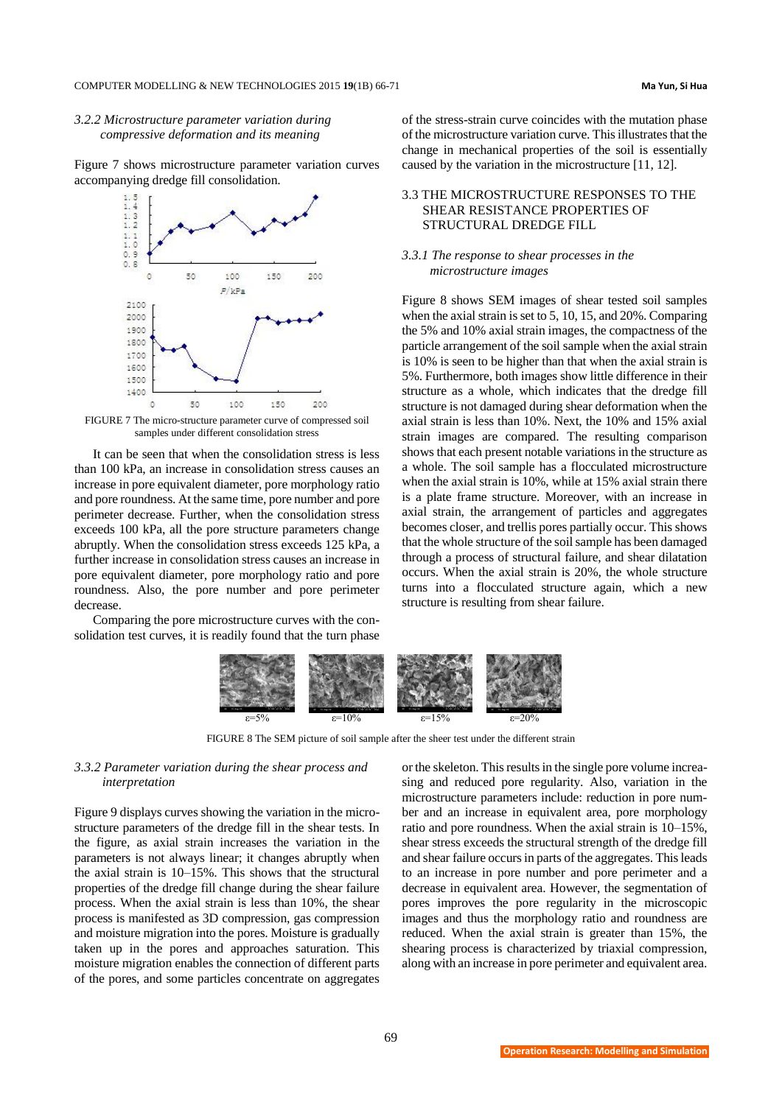# *3.2.2 Microstructure parameter variation during compressive deformation and its meaning*

Figure 7 shows microstructure parameter variation curves accompanying dredge fill consolidation.



FIGURE 7 The micro-structure parameter curve of compressed soil samples under different consolidation stress

It can be seen that when the consolidation stress is less than 100 kPa, an increase in consolidation stress causes an increase in pore equivalent diameter, pore morphology ratio and pore roundness. At the same time, pore number and pore perimeter decrease. Further, when the consolidation stress exceeds 100 kPa, all the pore structure parameters change abruptly. When the consolidation stress exceeds 125 kPa, a further increase in consolidation stress causes an increase in pore equivalent diameter, pore morphology ratio and pore roundness. Also, the pore number and pore perimeter decrease.

Comparing the pore microstructure curves with the consolidation test curves, it is readily found that the turn phase of the stress-strain curve coincides with the mutation phase of the microstructure variation curve. This illustrates that the change in mechanical properties of the soil is essentially caused by the variation in the microstructure [11, 12].

# 3.3 THE MICROSTRUCTURE RESPONSES TO THE SHEAR RESISTANCE PROPERTIES OF STRUCTURAL DREDGE FILL

#### *3.3.1 The response to shear processes in the microstructure images*

Figure 8 shows SEM images of shear tested soil samples when the axial strain is set to 5, 10, 15, and 20%. Comparing the 5% and 10% axial strain images, the compactness of the particle arrangement of the soil sample when the axial strain is 10% is seen to be higher than that when the axial strain is 5%. Furthermore, both images show little difference in their structure as a whole, which indicates that the dredge fill structure is not damaged during shear deformation when the axial strain is less than 10%. Next, the 10% and 15% axial strain images are compared. The resulting comparison shows that each present notable variations in the structure as a whole. The soil sample has a flocculated microstructure when the axial strain is 10%, while at 15% axial strain there is a plate frame structure. Moreover, with an increase in axial strain, the arrangement of particles and aggregates becomes closer, and trellis pores partially occur. This shows that the whole structure of the soil sample has been damaged through a process of structural failure, and shear dilatation occurs. When the axial strain is 20%, the whole structure turns into a flocculated structure again, which a new structure is resulting from shear failure.



FIGURE 8 The SEM picture of soil sample after the sheer test under the different strain

# *3.3.2 Parameter variation during the shear process and interpretation*

Figure 9 displays curves showing the variation in the microstructure parameters of the dredge fill in the shear tests. In the figure, as axial strain increases the variation in the parameters is not always linear; it changes abruptly when the axial strain is 10–15%. This shows that the structural properties of the dredge fill change during the shear failure process. When the axial strain is less than 10%, the shear process is manifested as 3D compression, gas compression and moisture migration into the pores. Moisture is gradually taken up in the pores and approaches saturation. This moisture migration enables the connection of different parts of the pores, and some particles concentrate on aggregates

or the skeleton. This results in the single pore volume increasing and reduced pore regularity. Also, variation in the microstructure parameters include: reduction in pore number and an increase in equivalent area, pore morphology ratio and pore roundness. When the axial strain is 10–15%, shear stress exceeds the structural strength of the dredge fill and shear failure occurs in parts of the aggregates. This leads to an increase in pore number and pore perimeter and a decrease in equivalent area. However, the segmentation of pores improves the pore regularity in the microscopic images and thus the morphology ratio and roundness are reduced. When the axial strain is greater than 15%, the shearing process is characterized by triaxial compression, along with an increase in pore perimeter and equivalent area.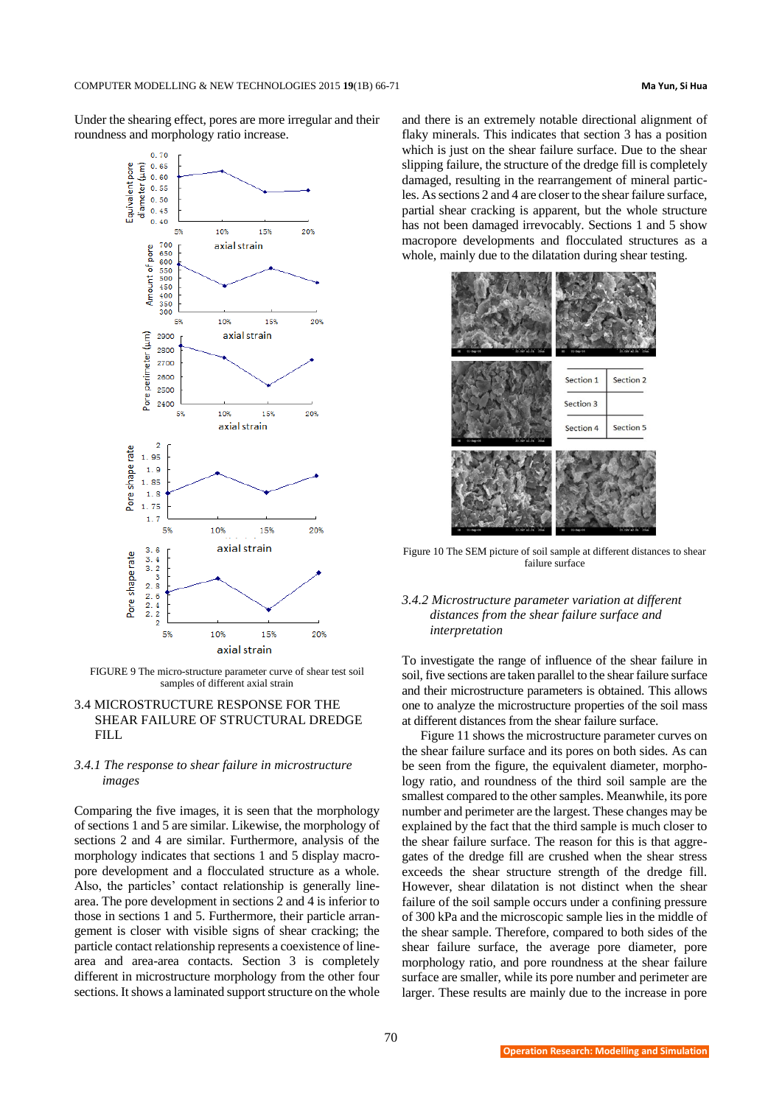Under the shearing effect, pores are more irregular and their roundness and morphology ratio increase.



FIGURE 9 The micro-structure parameter curve of shear test soil samples of different axial strain

# 3.4 MICROSTRUCTURE RESPONSE FOR THE SHEAR FAILURE OF STRUCTURAL DREDGE FILL

### *3.4.1 The response to shear failure in microstructure images*

Comparing the five images, it is seen that the morphology of sections 1 and 5 are similar. Likewise, the morphology of sections 2 and 4 are similar. Furthermore, analysis of the morphology indicates that sections 1 and 5 display macropore development and a flocculated structure as a whole. Also, the particles' contact relationship is generally linearea. The pore development in sections 2 and 4 is inferior to those in sections 1 and 5. Furthermore, their particle arrangement is closer with visible signs of shear cracking; the particle contact relationship represents a coexistence of linearea and area-area contacts. Section 3 is completely different in microstructure morphology from the other four sections. It shows a laminated support structure on the whole

and there is an extremely notable directional alignment of flaky minerals. This indicates that section 3 has a position which is just on the shear failure surface. Due to the shear slipping failure, the structure of the dredge fill is completely damaged, resulting in the rearrangement of mineral particles. As sections 2 and 4 are closer to the shear failure surface, partial shear cracking is apparent, but the whole structure has not been damaged irrevocably. Sections 1 and 5 show macropore developments and flocculated structures as a whole, mainly due to the dilatation during shear testing.



Figure 10 The SEM picture of soil sample at different distances to shear failure surface

# *3.4.2 Microstructure parameter variation at different distances from the shear failure surface and interpretation*

To investigate the range of influence of the shear failure in soil, five sections are taken parallel to the shear failure surface and their microstructure parameters is obtained. This allows one to analyze the microstructure properties of the soil mass at different distances from the shear failure surface.

Figure 11 shows the microstructure parameter curves on the shear failure surface and its pores on both sides. As can be seen from the figure, the equivalent diameter, morphology ratio, and roundness of the third soil sample are the smallest compared to the other samples. Meanwhile, its pore number and perimeter are the largest. These changes may be explained by the fact that the third sample is much closer to the shear failure surface. The reason for this is that aggregates of the dredge fill are crushed when the shear stress exceeds the shear structure strength of the dredge fill. However, shear dilatation is not distinct when the shear failure of the soil sample occurs under a confining pressure of 300 kPa and the microscopic sample lies in the middle of the shear sample. Therefore, compared to both sides of the shear failure surface, the average pore diameter, pore morphology ratio, and pore roundness at the shear failure surface are smaller, while its pore number and perimeter are larger. These results are mainly due to the increase in pore